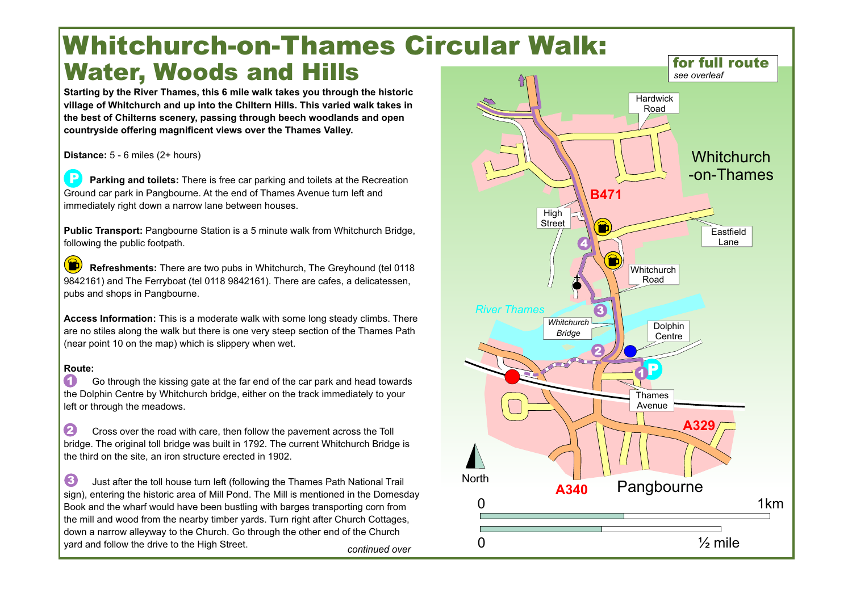## **Whitchurch-on-Thames Circular Walk: Water, Woods and Hills**

**Starting by the River Thames, this 6 mile walk takes you through the historic village of Whitchurch and up into the Chiltern Hills. This varied walk takes in the best of Chilterns scenery, passing through beech woodlands and open countryside offering magnificent views over the Thames Valley.** 

**Distance:** 5 - 6 miles (2+ hours)

**Parking and toilets:** There is free car parking and toilets at the Recreation Ground car park in Pangbourne. At the end of Thames Avenue turn left and immediately right down a narrow lane between houses. **P**

**Public Transport:** Pangbourne Station is a 5 minute walk from Whitchurch Bridge, following the public footpath.

 $\ddot{\mathbf{D}}$ **Refreshments:** There are two pubs in Whitchurch, The Greyhound (tel 0118 9842161) and The Ferryboat (tel 0118 9842161). There are cafes, a delicatessen, pubs and shops in Pangbourne.

**Access Information:** This is a moderate walk with some long steady climbs. There are no stiles along the walk but there is one very steep section of the Thames Path (near point 10 on the map) which is slippery when wet.

## **Route:**

Go through the kissing gate at the far end of the car park and head towards the Dolphin Centre by Whitchurch bridge, either on the track immediately to your left or through the meadows. **1**

Cross over the road with care, then follow the pavement across the Toll bridge. The original toll bridge was built in 1792. The current Whitchurch Bridge is the third on the site, an iron structure erected in 1902. **2**

Just after the toll house turn left (following the Thames Path National Trail sign), entering the historic area of Mill Pond. The Mill is mentioned in the Domesday Book and the wharf would have been bustling with barges transporting corn from the mill and wood from the nearby timber yards. Turn right after Church Cottages, down a narrow alleyway to the Church. Go through the other end of the Church yard and follow the drive to the High Street. **3** *continued over*